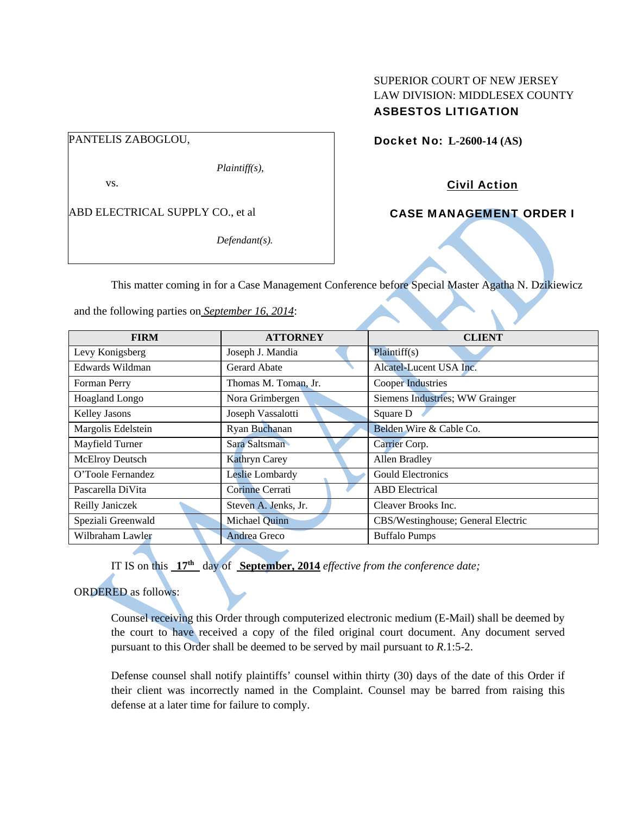## SUPERIOR COURT OF NEW JERSEY LAW DIVISION: MIDDLESEX COUNTY ASBESTOS LITIGATION

PANTELIS ZABOGLOU,

*Plaintiff(s),* 

vs.

ABD ELECTRICAL SUPPLY CO., et al

*Defendant(s).* 

Docket No: **L-2600-14 (AS)** 

Civil Action

CASE MANAGEMENT ORDER I

This matter coming in for a Case Management Conference before Special Master Agatha N. Dzikiewicz

and the following parties on *September 16, 2014*:

| <b>FIRM</b>        | <b>ATTORNEY</b>      | <b>CLIENT</b>                      |
|--------------------|----------------------|------------------------------------|
| Levy Konigsberg    | Joseph J. Mandia     | Plaintiff(s)                       |
| Edwards Wildman    | Gerard Abate         | Alcatel-Lucent USA Inc.            |
| Forman Perry       | Thomas M. Toman, Jr. | <b>Cooper Industries</b>           |
| Hoagland Longo     | Nora Grimbergen      | Siemens Industries; WW Grainger    |
| Kelley Jasons      | Joseph Vassalotti    | Square D                           |
| Margolis Edelstein | Ryan Buchanan        | Belden Wire & Cable Co.            |
| Mayfield Turner    | Sara Saltsman        | Carrier Corp.                      |
| McElroy Deutsch    | Kathryn Carey        | Allen Bradley                      |
| O'Toole Fernandez  | Leslie Lombardy      | <b>Gould Electronics</b>           |
| Pascarella DiVita  | Corinne Cerrati      | <b>ABD</b> Electrical              |
| Reilly Janiczek    | Steven A. Jenks, Jr. | Cleaver Brooks Inc.                |
| Speziali Greenwald | Michael Quinn        | CBS/Westinghouse; General Electric |
| Wilbraham Lawler   | Andrea Greco         | <b>Buffalo Pumps</b>               |

IT IS on this **17th** day of **September, 2014** *effective from the conference date;*

ORDERED as follows:

Counsel receiving this Order through computerized electronic medium (E-Mail) shall be deemed by the court to have received a copy of the filed original court document. Any document served pursuant to this Order shall be deemed to be served by mail pursuant to *R*.1:5-2.

Defense counsel shall notify plaintiffs' counsel within thirty (30) days of the date of this Order if their client was incorrectly named in the Complaint. Counsel may be barred from raising this defense at a later time for failure to comply.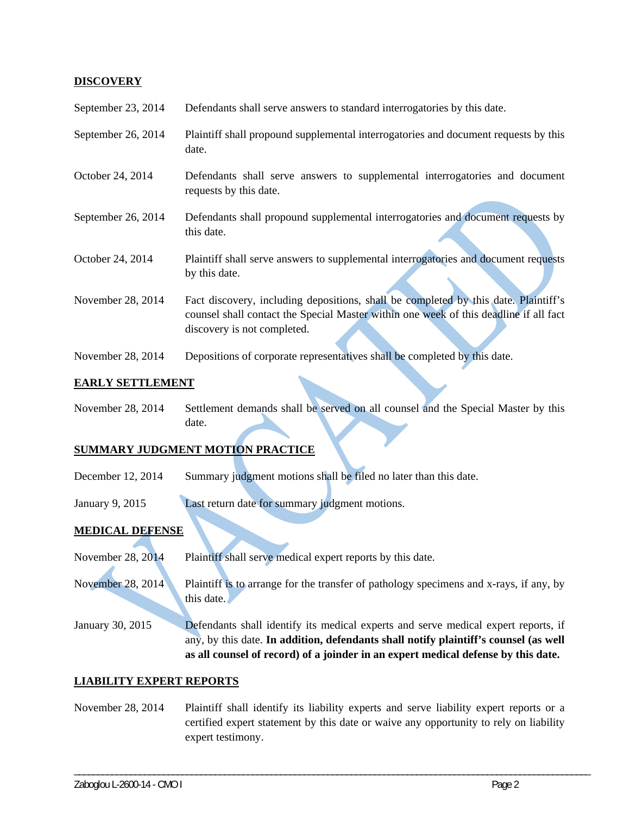### **DISCOVERY**

| September 23, 2014 | Defendants shall serve answers to standard interrogatories by this date.                                                                                                                                    |
|--------------------|-------------------------------------------------------------------------------------------------------------------------------------------------------------------------------------------------------------|
| September 26, 2014 | Plaintiff shall propound supplemental interrogatories and document requests by this<br>date.                                                                                                                |
| October 24, 2014   | Defendants shall serve answers to supplemental interrogatories and document<br>requests by this date.                                                                                                       |
| September 26, 2014 | Defendants shall propound supplemental interrogatories and document requests by<br>this date.                                                                                                               |
| October 24, 2014   | Plaintiff shall serve answers to supplemental interrogatories and document requests<br>by this date.                                                                                                        |
| November 28, 2014  | Fact discovery, including depositions, shall be completed by this date. Plaintiff's<br>counsel shall contact the Special Master within one week of this deadline if all fact<br>discovery is not completed. |
| November 28, 2014  | Depositions of corporate representatives shall be completed by this date.                                                                                                                                   |

### **EARLY SETTLEMENT**

November 28, 2014 Settlement demands shall be served on all counsel and the Special Master by this date.

# **SUMMARY JUDGMENT MOTION PRACTICE**

- December 12, 2014 Summary judgment motions shall be filed no later than this date.
- January 9, 2015 Last return date for summary judgment motions.

## **MEDICAL DEFENSE**

- November 28, 2014 Plaintiff shall serve medical expert reports by this date.
- November 28, 2014 Plaintiff is to arrange for the transfer of pathology specimens and x-rays, if any, by this date.
- January 30, 2015 Defendants shall identify its medical experts and serve medical expert reports, if any, by this date. **In addition, defendants shall notify plaintiff's counsel (as well as all counsel of record) of a joinder in an expert medical defense by this date.**

### **LIABILITY EXPERT REPORTS**

November 28, 2014 Plaintiff shall identify its liability experts and serve liability expert reports or a certified expert statement by this date or waive any opportunity to rely on liability expert testimony.

\_\_\_\_\_\_\_\_\_\_\_\_\_\_\_\_\_\_\_\_\_\_\_\_\_\_\_\_\_\_\_\_\_\_\_\_\_\_\_\_\_\_\_\_\_\_\_\_\_\_\_\_\_\_\_\_\_\_\_\_\_\_\_\_\_\_\_\_\_\_\_\_\_\_\_\_\_\_\_\_\_\_\_\_\_\_\_\_\_\_\_\_\_\_\_\_\_\_\_\_\_\_\_\_\_\_\_\_\_\_